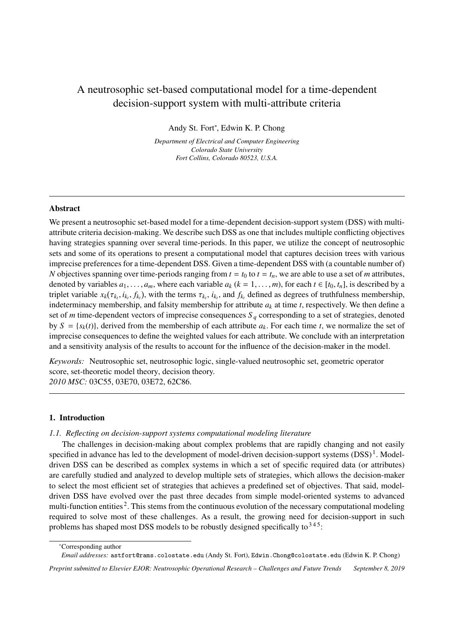# A neutrosophic set-based computational model for a time-dependent decision-support system with multi-attribute criteria

Andy St. Fort<sup>∗</sup> , Edwin K. P. Chong

*Department of Electrical and Computer Engineering Colorado State University Fort Collins, Colorado 80523, U.S.A.*

# Abstract

We present a neutrosophic set-based model for a time-dependent decision-support system (DSS) with multiattribute criteria decision-making. We describe such DSS as one that includes multiple conflicting objectives having strategies spanning over several time-periods. In this paper, we utilize the concept of neutrosophic sets and some of its operations to present a computational model that captures decision trees with various imprecise preferences for a time-dependent DSS. Given a time-dependent DSS with (a countable number of) *N* objectives spanning over time-periods ranging from  $t = t_0$  to  $t = t_n$ , we are able to use a set of *m* attributes, denoted by variables  $a_1, \ldots, a_m$ , where each variable  $a_k$  ( $k = 1, \ldots, m$ ), for each  $t \in [t_0, t_n]$ , is described by a triplet variable  $x_k(\tau_{k_1}, i_{k_1}, j_{k_1})$ , with the terms  $\tau_{k_1}, i_{k_1}$ , and  $f_{k_1}$  defined as degrees of truthfulness membership,<br>indeterminacy membership, and falsity membership for attribute a, at time t, respective indeterminacy membership, and falsity membership for attribute  $a_k$  at time  $t$ , respectively. We then define a set of *m* time-dependent vectors of imprecise consequences *S <sup>q</sup>* corresponding to a set of strategies, denoted by  $S = \{s_k(t)\}\text{, derived from the membership of each attribute } a_k$ . For each time *t*, we normalize the set of imprecise consequences to define the weighted values for each attribute. We conclude with an interpretation and a sensitivity analysis of the results to account for the influence of the decision-maker in the model.

*Keywords:* Neutrosophic set, neutrosophic logic, single-valued neutrosophic set, geometric operator score, set-theoretic model theory, decision theory. *2010 MSC:* 03C55, 03E70, 03E72, 62C86.

## 1. Introduction

### *1.1. Reflecting on decision-support systems computational modeling literature*

The challenges in decision-making about complex problems that are rapidly changing and not easily specified in advance has led to the development of model-driven decision-support systems  $(DSS)^1$ . Modeldriven DSS can be described as complex systems in which a set of specific required data (or attributes) are carefully studied and analyzed to develop multiple sets of strategies, which allows the decision-maker to select the most efficient set of strategies that achieves a predefined set of objectives. That said, modeldriven DSS have evolved over the past three decades from simple model-oriented systems to advanced multi-function entities<sup>2</sup>. This stems from the continuous evolution of the necessary computational modeling required to solve most of these challenges. As a result, the growing need for decision-support in such problems has shaped most DSS models to be robustly designed specifically to  $345$ :

<sup>∗</sup>Corresponding author

*Email addresses:* astfort@rams.colostate.edu (Andy St. Fort), Edwin.Chong@colostate.edu (Edwin K. P. Chong)

*Preprint submitted to Elsevier EJOR: Neutrosophic Operational Research – Challenges and Future Trends September 8, 2019*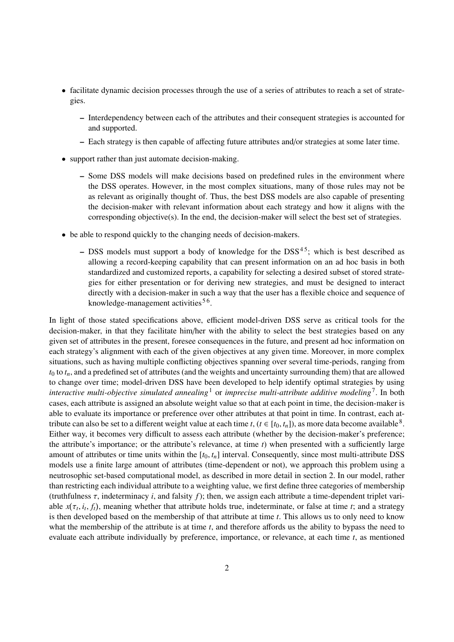- facilitate dynamic decision processes through the use of a series of attributes to reach a set of strategies.
	- Interdependency between each of the attributes and their consequent strategies is accounted for and supported.
	- Each strategy is then capable of affecting future attributes and/or strategies at some later time.
- support rather than just automate decision-making.
	- Some DSS models will make decisions based on predefined rules in the environment where the DSS operates. However, in the most complex situations, many of those rules may not be as relevant as originally thought of. Thus, the best DSS models are also capable of presenting the decision-maker with relevant information about each strategy and how it aligns with the corresponding objective(s). In the end, the decision-maker will select the best set of strategies.
- be able to respond quickly to the changing needs of decision-makers.
	- DSS models must support a body of knowledge for the  $DSS<sup>45</sup>$ ; which is best described as allowing a record-keeping capability that can present information on an ad hoc basis in both standardized and customized reports, a capability for selecting a desired subset of stored strategies for either presentation or for deriving new strategies, and must be designed to interact directly with a decision-maker in such a way that the user has a flexible choice and sequence of knowledge-management activities<sup>56</sup>.

In light of those stated specifications above, efficient model-driven DSS serve as critical tools for the decision-maker, in that they facilitate him/her with the ability to select the best strategies based on any given set of attributes in the present, foresee consequences in the future, and present ad hoc information on each strategy's alignment with each of the given objectives at any given time. Moreover, in more complex situations, such as having multiple conflicting objectives spanning over several time-periods, ranging from  $t_0$  to  $t_n$ , and a predefined set of attributes (and the weights and uncertainty surrounding them) that are allowed to change over time; model-driven DSS have been developed to help identify optimal strategies by using *interactive multi-objective simulated annealing*<sup>1</sup> or *imprecise multi-attribute additive modeling*<sup>7</sup> . In both cases, each attribute is assigned an absolute weight value so that at each point in time, the decision-maker is able to evaluate its importance or preference over other attributes at that point in time. In contrast, each attribute can also be set to a different weight value at each time *t*,  $(t \in [t_0, t_n])$ , as more data become available<sup>8</sup>.<br>Either way, it becomes very difficult to assess each attribute (whether by the decision-maker's prefer Either way, it becomes very difficult to assess each attribute (whether by the decision-maker's preference; the attribute's importance; or the attribute's relevance, at time *t*) when presented with a sufficiently large amount of attributes or time units within the  $[t_0, t_n]$  interval. Consequently, since most multi-attribute DSS models use a finite large amount of attributes (time-dependent or not), we approach this problem using a neutrosophic set-based computational model, as described in more detail in section 2. In our model, rather than restricting each individual attribute to a weighting value, we first define three categories of membership (truthfulness τ, indeterminacy *<sup>i</sup>*, and falsity *<sup>f</sup>*); then, we assign each attribute a time-dependent triplet variable  $x(\tau_t, i_t, f_t)$ , meaning whether that attribute holds true, indeterminate, or false at time *t*; and a strategy is then developed based on the membership of that attribute at time *t*. This allows us to only need to kn able  $x(\tau_t, t_t, f_t)$ , meaning whether that attribute holds true, indeterminate, or laise at time  $t$ ; and a strategy is then developed based on the membership of that attribute at time  $t$ . This allows us to only need to kn what the membership of the attribute is at time *t*, and therefore affords us the ability to bypass the need to evaluate each attribute individually by preference, importance, or relevance, at each time *t*, as mentioned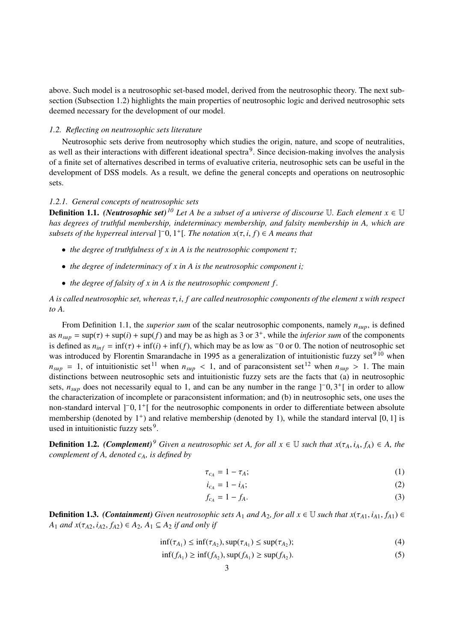above. Such model is a neutrosophic set-based model, derived from the neutrosophic theory. The next subsection (Subsection 1.2) highlights the main properties of neutrosophic logic and derived neutrosophic sets deemed necessary for the development of our model.

## *1.2. Reflecting on neutrosophic sets literature*

Neutrosophic sets derive from neutrosophy which studies the origin, nature, and scope of neutralities, as well as their interactions with different ideational spectra<sup>9</sup>. Since decision-making involves the analysis of a finite set of alternatives described in terms of evaluative criteria, neutrosophic sets can be useful in the development of DSS models. As a result, we define the general concepts and operations on neutrosophic sets.

# *1.2.1. General concepts of neutrosophic sets*

**Definition 1.1.** *(Neutrosophic set)*<sup>*10*</sup> *Let A be a subset of a universe of discourse* U. Each element  $x \in U$ *has degrees of truthful membership, indeterminacy membership, and falsity membership in A, which are*  $subsets of the\ hyperreal\ interval\ ]$ <sup>-</sup>0, 1<sup>+</sup>[*. The notation*  $x(\tau, i, f) \in A$  means that

- *the degree of truthfulness of x in A is the neutrosophic component* τ*;*
- *the degree of indeterminacy of x in A is the neutrosophic component i;*
- *the degree of falsity of x in A is the neutrosophic component f .*

*A is called neutrosophic set, whereas* τ, *<sup>i</sup>*, *f are called neutrosophic components of the element x with respect to A.*

From Definition 1.1, the *superior sum* of the scalar neutrosophic components, namely *nsup*, is defined as  $n_{sup} = \sup(\tau) + \sup(i) + \sup(f)$  and may be as high as 3 or 3<sup>+</sup>, while the *inferior sum* of the components<br>is defined as  $n_i \leq \inf(\tau) + \inf(f) + \inf(f)$  which may be as low as  $\tau$ 0 or 0. The notion of neutrosophic set is defined as  $n_{inf} = \inf(\tau) + \inf(i) + \inf(f)$ , which may be as low as  $\tau$  or 0. The notion of neutrosophic set was introduced by Florentin Smarandache in 1995 as a generalization of intuitionistic fuzzy set $910$  when  $n_{sup}$  = 1, of intuitionistic set<sup>11</sup> when  $n_{sup}$  < 1, and of paraconsistent set<sup>12</sup> when  $n_{sup}$  > 1. The main distinctions between neutrosophic sets and intuitionistic fuzzy sets are the facts that (a) in neutrosophic sets,  $n_{sup}$  does not necessarily equal to 1, and can be any number in the range  $]$ <sup>-</sup> $0,3$ <sup>+</sup> $[$  in order to allow<br>the characterization of incomplete or paraconsistent information; and (b) in neutrosophic sets, one uses the characterization of incomplete or paraconsistent information; and (b) in neutrosophic sets, one uses the non-standard interval ]<sup>−</sup>0, 1<sup>+</sup>[ for the neutrosophic components in order to differentiate between absolute<br>membership (denoted by 1<sup>+</sup>) and relative membership (denoted by 1), while the standard interval [0, 1] is membership (denoted by  $1^+$ ) and relative membership (denoted by 1), while the standard interval [0, 1] is used in intuitionistic fuzzy sets<sup>9</sup> used in intuitionistic fuzzy sets $9$ .

**Definition 1.2.** *(Complement)*<sup>9</sup> *Given a neutrosophic set A, for all x*  $\in \mathbb{U}$  *such that*  $x(\tau_A, i_A, f_A) \in A$ *, the complement of A, denoted cA, is defined by*

$$
\tau_{c_A} = 1 - \tau_A; \tag{1}
$$

$$
i_{c_A} = 1 - i_A; \tag{2}
$$

$$
f_{c_A} = 1 - f_A. \tag{3}
$$

**Definition 1.3.** *(Containment) Given neutrosophic sets*  $A_1$  *and*  $A_2$ *, for all*  $x \in \mathbb{U}$  *such that*  $x(\tau_{A1}, i_{A1}, f_{A1}) \in$ *A*<sub>1</sub> *and x*( $τ_{A2}$ *, i<sub>A2</sub>*,  $f_{A2}$ ) ∈  $A_{2}$ *, A*<sub>1</sub> ⊆  $A_{2}$  *if and only if* 

$$
\inf(\tau_{A_1}) \le \inf(\tau_{A_2}), \sup(\tau_{A_1}) \le \sup(\tau_{A_2});\tag{4}
$$

$$
\inf(f_{A_1}) \ge \inf(f_{A_2}), \sup(f_{A_1}) \ge \sup(f_{A_2}).
$$
 (5)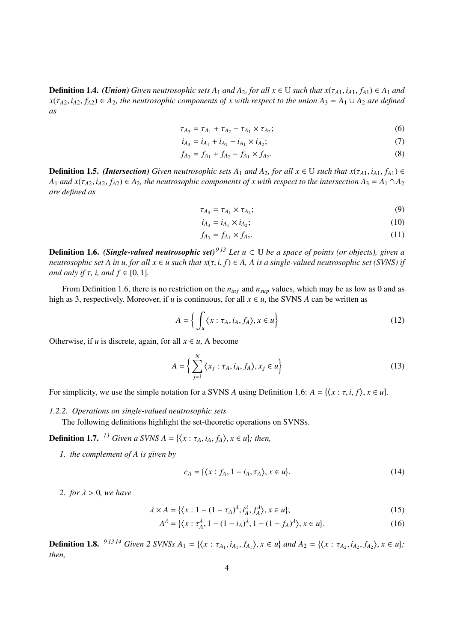**Definition 1.4.** *(Union) Given neutrosophic sets*  $A_1$  *and*  $A_2$ *, for all*  $x \in \mathbb{U}$  *such that*  $x(\tau_{A1}, i_{A1}, f_{A1}) \in A_1$  *and*  $x(\tau_{A2}, i_{A2}, f_{A2}) \in A_2$ , the neutrosophic components of x with respect to the union  $A_3 = A_1 \cup A_2$  are defined *as*

$$
\tau_{A_3} = \tau_{A_1} + \tau_{A_2} - \tau_{A_1} \times \tau_{A_2};
$$
\n(6)

$$
i_{A_3} = i_{A_1} + i_{A_2} - i_{A_1} \times i_{A_2};\tag{7}
$$

$$
f_{A_3} = f_{A_1} + f_{A_2} - f_{A_1} \times f_{A_2}.
$$
 (8)

**Definition 1.5.** *(Intersection) Given neutrosophic sets*  $A_1$  *and*  $A_2$ *, for all*  $x \in \mathbb{U}$  *such that*  $x(\tau_{A1}, i_{A1}, f_{A1}) \in$  $A_1$  *and*  $x(\tau_{A2}, i_{A2}, f_{A2}) \in A_2$ , the neutrosophic components of x with respect to the intersection  $A_3 = A_1 \cap A_2$ *are defined as*

$$
\tau_{A_3} = \tau_{A_1} \times \tau_{A_2};\tag{9}
$$

$$
i_{A_3} = i_{A_1} \times i_{A_2};\tag{10}
$$

$$
f_{A_3} = f_{A_1} \times f_{A_2}.
$$
 (11)

**Definition 1.6.** *(Single-valued neutrosophic set)*<sup>913</sup> *Let*  $u \subset \mathbb{U}$  *be a space of points (or objects), given a neutrosophic set A in u, for all*  $x \in u$  *such that*  $x(\tau, i, f) \in A$ , A is a single-valued neutrosophic set (SVNS) if *and only if*  $\tau$ *, i, and*  $f \in [0, 1]$ *.* 

From Definition 1.6, there is no restriction on the  $n_{inf}$  and  $n_{sup}$  values, which may be as low as 0 and as high as 3, respectively. Moreover, if *u* is continuous, for all  $x \in u$ , the SVNS *A* can be written as

$$
A = \left\{ \int_{u} \langle x : \tau_A, i_A, f_A \rangle, x \in u \right\}
$$
 (12)

Otherwise, if *u* is discrete, again, for all  $x \in u$ , A become

$$
A = \left\{ \sum_{j=1}^{N} \left\langle x_j : \tau_A, i_A, f_A \right\rangle, x_j \in u \right\}
$$
 (13)

For simplicity, we use the simple notation for a SVNS *A* using Definition 1.6:  $A = \{ \langle x : \tau, i, f \rangle, x \in u \}.$ 

*1.2.2. Operations on single-valued neutrosophic sets*

The following definitions highlight the set-theoretic operations on SVNSs.

**Definition 1.7.** <sup>13</sup> *Given a SVNS A* = { $\langle x : \tau_A, i_A, f_A \rangle, x \in u$ }; then,

*1. the complement of A is given by*

$$
c_A = \{ \langle x : f_A, 1 - i_A, \tau_A \rangle, x \in u \}. \tag{14}
$$

*2. for*  $\lambda > 0$ *, we have* 

$$
\lambda \times A = \{ \langle x : 1 - (1 - \tau_A)^{\lambda}, i_A^{\lambda}, f_A^{\lambda} \rangle, x \in u \};
$$
\n(15)

$$
A^{\lambda} = \{ (x : \tau_A^{\lambda}, 1 - (1 - i_A)^{\lambda}, 1 - (1 - f_A)^{\lambda}), x \in u \}.
$$
 (16)

**Definition 1.8.** <sup>91314</sup> Given 2 SVNSs  $A_1 = \{ \langle x : \tau_{A_1}, i_{A_1}, f_{A_1} \rangle, x \in u \}$  and  $A_2 = \{ \langle x : \tau_{A_2}, i_{A_2}, f_{A_2} \rangle, x \in u \}$ ; *then,*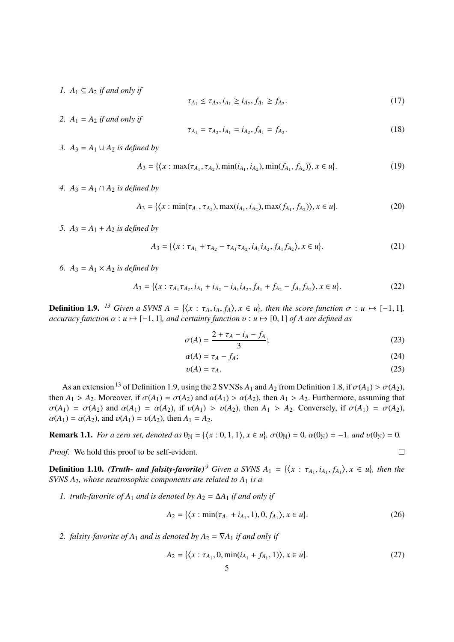*I.*  $A_1$  ⊆  $A_2$  *if and only if* 

$$
\tau_{A_1} \le \tau_{A_2}, i_{A_1} \ge i_{A_2}, f_{A_1} \ge f_{A_2}.\tag{17}
$$

2.  $A_1 = A_2$  *if and only if* 

$$
\tau_{A_1} = \tau_{A_2}, i_{A_1} = i_{A_2}, f_{A_1} = f_{A_2}.
$$
\n(18)

*3. A*<sub>3</sub> = *A*<sub>1</sub> ∪ *A*<sub>2</sub> *is defined by* 

$$
A_3 = \{ \langle x : \max(\tau_{A_1}, \tau_{A_2}), \min(i_{A_1}, i_{A_2}), \min(j_{A_1}, j_{A_2}) \rangle, x \in u \}. \tag{19}
$$

*4.*  $A_3 = A_1 ∩ A_2$  *is defined by* 

$$
A_3 = \{ \langle x : \min(\tau_{A_1}, \tau_{A_2}), \max(i_{A_1}, i_{A_2}), \max(j_{A_1}, j_{A_2}) \rangle, x \in u \}. \tag{20}
$$

*5.*  $A_3 = A_1 + A_2$  *is defined by* 

$$
A_3 = \{ \langle x : \tau_{A_1} + \tau_{A_2} - \tau_{A_1} \tau_{A_2}, i_{A_1} i_{A_2}, f_{A_1} f_{A_2} \rangle, x \in u \}. \tag{21}
$$

6.  $A_3 = A_1 \times A_2$  *is defined by* 

$$
A_3 = \{ \langle x : \tau_{A_1} \tau_{A_2}, i_{A_1} + i_{A_2} - i_{A_1} i_{A_2}, f_{A_1} + f_{A_2} - f_{A_1} f_{A_2} \rangle, x \in u \}. \tag{22}
$$

**Definition 1.9.** <sup>13</sup> Given a SVNS  $A = \{ \langle x : \tau_A, i_A, f_A \rangle, x \in u \}$ , then the score function  $\sigma : u \mapsto [-1, 1]$ ,<br>accuracy function  $\alpha : u \mapsto [-1, 1]$ , and certainty function  $u : u \mapsto [0, 1]$  of A are defined as *accuracy function*  $\alpha : u \mapsto [-1, 1]$ *, and certainty function*  $v : u \mapsto [0, 1]$  *of A are defined as* 

$$
\sigma(A) = \frac{2 + \tau_A - i_A - f_A}{3};\tag{23}
$$

$$
\alpha(A) = \tau_A - f_A; \tag{24}
$$

$$
\upsilon(A) = \tau_A. \tag{25}
$$

 $\Box$ 

As an extension<sup>13</sup> of Definition 1.9, using the 2 SVNSs  $A_1$  and  $A_2$  from Definition 1.8, if  $\sigma(A_1) > \sigma(A_2)$ , then  $A_1 > A_2$ . Moreover, if  $\sigma(A_1) = \sigma(A_2)$  and  $\alpha(A_1) > \alpha(A_2)$ , then  $A_1 > A_2$ . Furthermore, assuming that  $\sigma(A_1) = \sigma(A_2)$  and  $\alpha(A_1) = \alpha(A_2)$ , if  $\nu(A_1) > \nu(A_2)$ , then  $A_1 > A_2$ . Conversely, if  $\sigma(A_1) = \sigma(A_2)$ ,  $\alpha(A_1) = \alpha(A_2)$ , and  $\nu(A_1) = \nu(A_2)$ , then  $A_1 = A_2$ .

**Remark 1.1.** For a zero set, denoted as 
$$
0_N = \{ \langle x : 0, 1, 1 \rangle, x \in u \}
$$
,  $\sigma(0_N) = 0$ ,  $\alpha(0_N) = -1$ , and  $\upsilon(0_N) = 0$ .

*Proof.* We hold this proof to be self-evident.

**Definition 1.10.** *(Truth- and falsity-favorite)*<sup>9</sup> *Given a SVNS*  $A_1 = \{ \langle x : \tau_{A_1}, i_{A_1}, f_{A_1} \rangle, x \in u \}$ , then the<br>SVNS  $A_2$  whose neutrosophic components are related to  $A_2$  is a *SVNS A*2*, whose neutrosophic components are related to A*<sup>1</sup> *is a*

*1. truth-favorite of*  $A_1$  *and is denoted by*  $A_2 = \Delta A_1$  *if and only if* 

$$
A_2 = \{ \langle x : \min(\tau_{A_1} + i_{A_1}, 1), 0, f_{A_1} \rangle, x \in u \}. \tag{26}
$$

2. *falsity-favorite of*  $A_1$  *and is denoted by*  $A_2 = \nabla A_1$  *if and only if* 

$$
A_2 = \{ \langle x : \tau_{A_1}, 0, \min(i_{A_1} + f_{A_1}, 1) \rangle, x \in u \}. \tag{27}
$$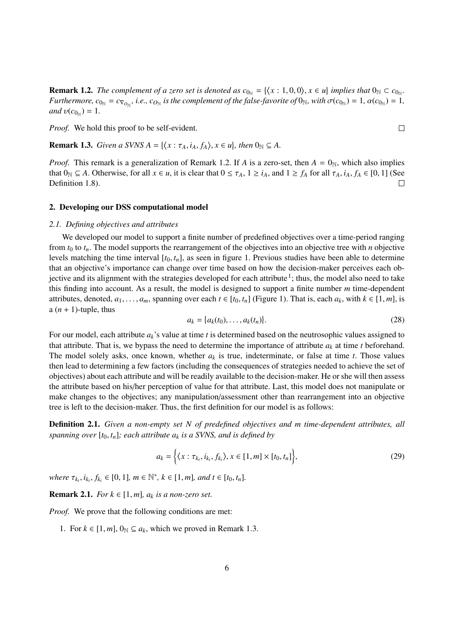**Remark 1.2.** *The complement of a zero set is denoted as*  $c_{0_N} = \{(x : 1, 0, 0), x \in u\}$  *implies that*  $0_N \subset c_{0_N}$ .<br>*Eurthermore*  $c_0 = c_0$  *i.e.*  $c_0$  *is the complement of the folse fourite of*  $0_N$ *, with*  $\sigma(c_0) = 1$ , *Furthermore,*  $c_{0_N} = c_{\nabla_{O_N}}$ , *i.e.,*  $c_{O_N}$  *is the complement of the false-favorite of*  $0_N$ *, with*  $\sigma(c_{0_N}) = 1$ *,*  $\alpha(c_{0_N}) = 1$ *,*  $\sigma(c_{0_N}) = 1$ *and*  $v(c_{0_{\mathbb{N}}}) = 1$ .

*Proof.* We hold this proof to be self-evident.

**Remark 1.3.** *Given a SVNS A* = { $\langle x : \tau_A, i_A, f_A \rangle, x \in u$ }, *then*  $0_N \subseteq A$ .

*Proof.* This remark is a generalization of Remark 1.2. If *A* is a zero-set, then  $A = 0_N$ , which also implies that  $0_N \subseteq A$ . Otherwise, for all  $x \in u$ , it is clear that  $0 \le \tau_A$ ,  $1 \ge i_A$ , and  $1 \ge f_A$  for all  $\tau_A$ ,  $i_A$ ,  $f_A \in [0, 1]$  (See Definition 1.8). Definition 1.8).

## 2. Developing our DSS computational model

#### *2.1. Defining objectives and attributes*

We developed our model to support a finite number of predefined objectives over a time-period ranging from  $t_0$  to  $t_n$ . The model supports the rearrangement of the objectives into an objective tree with *n* objective levels matching the time interval  $[t_0, t_n]$ , as seen in figure 1. Previous studies have been able to determine that an objective's importance can change over time based on how the decision-maker perceives each objective and its alignment with the strategies developed for each attribute<sup>1</sup>; thus, the model also need to take this finding into account. As a result, the model is designed to support a finite number *m* time-dependent attributes, denoted,  $a_1, \ldots, a_m$ , spanning over each  $t \in [t_0, t_n]$  (Figure 1). That is, each  $a_k$ , with  $k \in [1, m]$ , is a  $(n + 1)$ -tuple, thus

$$
a_k = \{a_k(t_0), \dots, a_k(t_n)\}.
$$
\n(28)

For our model, each attribute *ak*'s value at time *t* is determined based on the neutrosophic values assigned to that attribute. That is, we bypass the need to determine the importance of attribute  $a_k$  at time  $t$  beforehand. The model solely asks, once known, whether  $a_k$  is true, indeterminate, or false at time *t*. Those values then lead to determining a few factors (including the consequences of strategies needed to achieve the set of objectives) about each attribute and will be readily available to the decision-maker. He or she will then assess the attribute based on his/her perception of value for that attribute. Last, this model does not manipulate or make changes to the objectives; any manipulation/assessment other than rearrangement into an objective tree is left to the decision-maker. Thus, the first definition for our model is as follows:

Definition 2.1. *Given a non-empty set N of predefined objectives and m time-dependent attributes, all spanning over*  $[t_0, t_n]$ *; each attribute*  $a_k$  *is a SVNS, and is defined by* 

$$
a_k = \left\{ \langle x : \tau_{k_t}, i_{k_t}, f_{k_t} \rangle, x \in [1, m] \times [t_0, t_n] \right\},\tag{29}
$$

*where*  $\tau_{k_t}, i_{k_t}, f_{k_t} \in [0, 1]$ *,*  $m \in \mathbb{N}^*$ *,*  $k \in [1, m]$ *, and*  $t \in [t_0, t_n]$ *.* 

**Remark 2.1.** *For*  $k \in [1, m]$ *,*  $a_k$  *is a non-zero set.* 

*Proof.* We prove that the following conditions are met:

1. For  $k \in [1, m]$ ,  $0_N \subseteq a_k$ , which we proved in Remark 1.3.

 $\Box$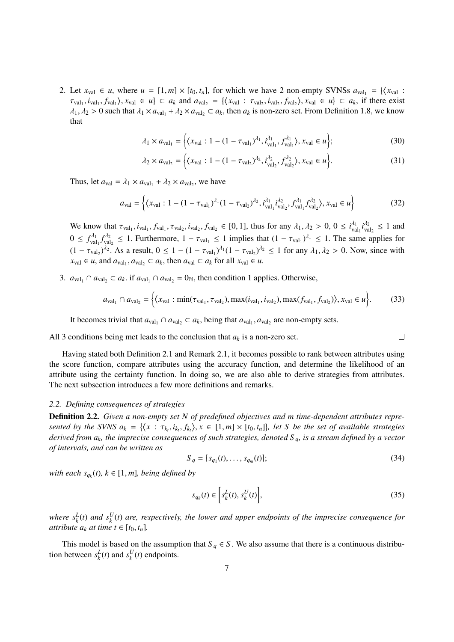2. Let  $x_{\text{val}} \in u$ , where  $u = [1, m] \times [t_0, t_n]$ , for which we have 2 non-empty SVNSs  $a_{\text{val}_1} = \{ \langle x_{\text{val}} : \tau_{\text{val}} : t_n \rangle : x_n \in u \}$  $\tau_{val_1}, \dot{i}_{val_1}, \dot{f}_{val_1} \rangle$ ,  $x_{val} \in u$   $\subset a_k$  and  $a_{val_2} = \{\langle x_{val} : \tau_{val_2}, \dot{i}_{val_2}, \dot{f}_{val_2} \rangle, x_{val} \in u\} \subset a_k$ , if there exist<br> *A*<sub>c</sub>  $\geq 0$  such that  $\lambda \geq a_{\lambda+1} + \lambda \geq a_{\lambda+1} \subset a_k$ , then  $a_k$  is non-zero set. From Defin  $\lambda_1, \lambda_2 > 0$  such that  $\lambda_1 \times a_{\text{val}_1} + \lambda_2 \times a_{\text{val}_2} \subset a_k$ , then  $a_k$  is non-zero set. From Definition 1.8, we know that

$$
\lambda_1 \times a_{\text{val}_1} = \left\{ \left( x_{\text{val}} : 1 - (1 - \tau_{\text{val}_1})^{l_1}, i_{\text{val}_1}^{l_1}, f_{\text{val}_1}^{l_1} \right), x_{\text{val}} \in u \right\};\tag{30}
$$

$$
\lambda_2 \times a_{\text{val}_2} = \left\{ (x_{\text{val}} : 1 - (1 - \tau_{\text{val}_2})^{1_2}, i_{\text{val}_2}^{1_2}, f_{\text{val}_2}^{1_2}), x_{\text{val}} \in u \right\}.
$$
 (31)

Thus, let  $a_{\text{val}} = \lambda_1 \times a_{\text{val}_1} + \lambda_2 \times a_{\text{val}_2}$ , we have

$$
a_{\text{val}} = \left\{ (x_{\text{val}} : 1 - (1 - \tau_{\text{val}_1})^{\lambda_1} (1 - \tau_{\text{val}_2})^{\lambda_2}, i_{\text{val}_1}^{\lambda_1} i_{\text{val}_2}^{\lambda_2}, f_{\text{val}_1}^{\lambda_1} f_{\text{val}_2}^{\lambda_2}), x_{\text{val}} \in u \right\}
$$
(32)

We know that  $\tau_{val_1}$ , *i*<sub>val<sub>1</sub></sub>, *f*<sub>val<sub>1</sub></sub>, *f*<sub>val<sub>2</sub></sub>, *i*<sub>val<sub>2</sub></sub>, *f*<sub>val<sub>2</sub></sub>, *f*<sub>val<sub>2</sub></sub> ∈ [0, 1], thus for any λ<sub>1</sub>, λ<sub>2</sub> > 0, 0 ≤ *i*<sup>, *t*<sub>1</sub></sup><sub>val<sub>2</sub></sub> ≤ 1 and  $0 \le f_{\text{val}_1}^{A_1} f_{\text{val}_2}^{A_2} \le 1$ . Furthermore,  $1 - \tau_{\text{val}_1} \le 1$  implies that  $(1 - \tau_{\text{val}_1})^{A_1} \le 1$ . The same applies for  $(1 - \tau_{\text{val}_2})^{d_2}$ . As a result,  $0 \le 1 - (1 - \tau_{\text{val}_1})^{d_1}(1 - \tau_{\text{val}_2})^{d_2} \le 1$  for any  $\lambda_1, \lambda_2 > 0$ . Now, since with  $x_{\text{val}} \in u$ , and  $a_{\text{val}_1}, a_{\text{val}_2} \subset a_k$ , then  $a_{\text{val}} \subset a_k$  for all  $x_{\text{val}} \in u$ .

3.  $a_{\text{val}_1} ∩ a_{\text{val}_2} ⊂ a_k$ . if  $a_{\text{val}_1} ∩ a_{\text{val}_2} = 0$ <sub>N</sub>, then condition 1 applies. Otherwise,

$$
a_{\text{val}_1} \cap a_{\text{val}_2} = \left\{ \langle x_{\text{val}} : \min(\tau_{\text{val}_1}, \tau_{\text{val}_2}), \max(i_{\text{val}_1}, i_{\text{val}_2}), \max(f_{\text{val}_1}, f_{\text{val}_2}) \rangle, x_{\text{val}} \in u \right\}.
$$
 (33)

It becomes trivial that  $a_{val_1} \cap a_{val_2} \subset a_k$ , being that  $a_{val_1}, a_{val_2}$  are non-empty sets.

All 3 conditions being met leads to the conclusion that  $a_k$  is a non-zero set.

Having stated both Definition 2.1 and Remark 2.1, it becomes possible to rank between attributes using the score function, compare attributes using the accuracy function, and determine the likelihood of an attribute using the certainty function. In doing so, we are also able to derive strategies from attributes. The next subsection introduces a few more definitions and remarks.

## *2.2. Defining consequences of strategies*

Definition 2.2. *Given a non-empty set N of predefined objectives and m time-dependent attributes repre*sented by the SVNS  $a_k = \{ \langle x : \tau_{k_i}, i_{k_i}, f_{k_i} \rangle, x \in [1, m] \times [t_0, t_n] \}$ , let S be the set of available strategies<br>derived from a., the imprecise consequences of such strategies, denoted S, is a stream defined by a vector *derived from ak, the imprecise consequences of such strategies, denoted S <sup>q</sup>, is a stream defined by a vector of intervals, and can be written as*

$$
S_q = \{s_{q_1}(t), \dots, s_{q_m}(t)\};
$$
\n(34)

 $\Box$ 

 $with each s_{q_k}(t)$ ,  $k \in [1, m]$ *, being defined by* 

$$
s_{q_k}(t) \in \left[ s_k^L(t), s_k^U(t) \right],\tag{35}
$$

where  $s_k^L(t)$  and  $s_k^U(t)$  are, respectively, the lower and upper endpoints of the imprecise consequence for *attribute*  $a_k$  *at time*  $t \in [t_0, t_n]$ *.* 

This model is based on the assumption that  $S_q \in S$ . We also assume that there is a continuous distribution between  $s_k^L(t)$  and  $s_k^U(t)$  endpoints.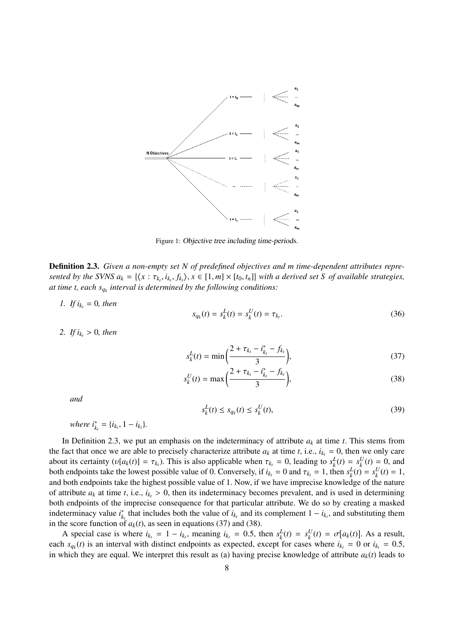

Figure 1: Objective tree including time-periods.

Definition 2.3. *Given a non-empty set N of predefined objectives and m time-dependent attributes repre*sented by the SVNS  $a_k = \{\langle x : \tau_{k_t}, i_{k_t}, f_{k_t}\rangle, x \in [1, m] \times [t_0, t_n]\}\}$  with a derived set S of available strategies,<br>at time t, each s, interval is determined by the following conditions: *at time t, each sq<sup>k</sup> interval is determined by the following conditions:*

*1. If*  $i_{k_t} = 0$ *, then* 

$$
s_{q_k}(t) = s_k^L(t) = s_k^U(t) = \tau_{k_t}.
$$
\n(36)

*2. If*  $i_k$ ,  $> 0$ *, then* 

$$
s_k^L(t) = \min\left(\frac{2 + \tau_{k_t} - i_{k_t}^* - f_{k_t}}{3}\right),\tag{37}
$$

$$
s_k^U(t) = \max\left(\frac{2 + \tau_{k_t} - i_{k_t}^* - f_{k_t}}{3}\right),\tag{38}
$$

*and*

$$
s_k^L(t) \le s_{q_k}(t) \le s_k^U(t),\tag{39}
$$

*where*  $i_{k_t}^* = \{i_{k_t}, 1 - i_{k_t}\}.$ 

In Definition 2.3, we put an emphasis on the indeterminacy of attribute  $a_k$  at time  $t$ . This stems from the fact that once we are able to precisely characterize attribute  $a_k$  at time  $t$ , i.e.,  $i_{k_t} = 0$ , then we only care about its certainty  $(v[a_k(t)] = \tau_{k_t})$ . This is also applicable when  $\tau_{k_t} = 0$ , leading to  $s_k^L(t) = s_k^U(t) = 0$ , and to the proposition of  $v_k$  is  $k_t$  to  $t_k$  and  $\tau_k = 1$ , then  $s^L(t) = s^U(t) = 1$ both endpoints take the lowest possible value of 0. Conversely, if  $i_{k_t} = 0$  and  $\tau_{k_t} = 1$ , then  $s_k^L(t) = s_k^U(t) = 1$ , and both endpoints take the highest possible value of 1. Now, if we have imprecise knowledge of the n and both endpoints take the highest possible value of 1. Now, if we have imprecise knowledge of the nature of attribute  $a_k$  at time *t*, i.e.,  $i_{k_t} > 0$ , then its indeterminacy becomes prevalent, and is used in determining both endpoints of the imprecise consequence for that particular attribute. We do so by creating a masked indeterminacy value *i* ∗ *k*<sub>*t*</sub> that includes both the value of  $i_{k_t}$  and its complement  $1 - i_{k_t}$ , and substituting them in the score function of  $a_k(t)$ , as seen in equations (37) and (38).

A special case is where  $i_{k_t} = 1 - i_{k_t}$ , meaning  $i_{k_t} = 0.5$ , then  $s_k^L(t) = s_k^U(t) = \sigma[a_k(t)]$ . As a result, each  $s_{q_k}(t)$  is an interval with distinct endpoints as expected, except for cases where  $i_{k_t} = 0$  or  $i_{k_t} = 0.5$ , in which they are equal. We interpret this result as (a) baying precise knowledge of attribute  $a_k(t)$  l in which they are equal. We interpret this result as (a) having precise knowledge of attribute  $a_k(t)$  leads to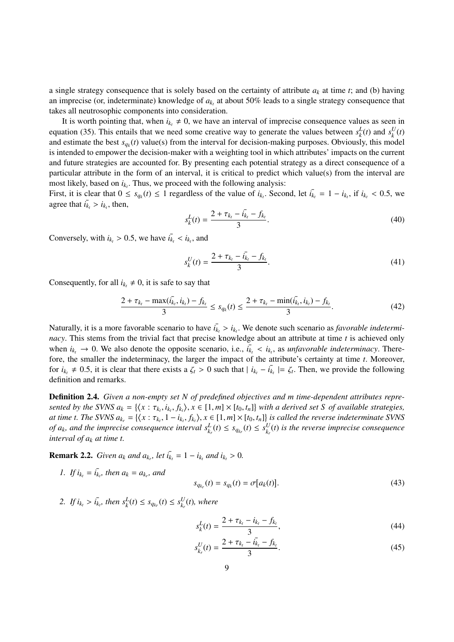a single strategy consequence that is solely based on the certainty of attribute  $a_k$  at time  $t$ ; and (b) having an imprecise (or, indeterminate) knowledge of  $a_{k_t}$  at about 50% leads to a single strategy consequence that takes all neutrosophic components into consideration.

It is worth pointing that, when  $i_{k_t} \neq 0$ , we have an interval of imprecise consequence values as seen in equation (35). This entails that we need some creative way to generate the values between  $s_k^L(t)$  and  $s_k^U(t)$ and estimate the best  $s_{q_k}(t)$  value(s) from the interval for decision-making purposes. Obviously, this model is intended to empower the decision-maker with a weighting tool in which attributes' impacts on the current and future strategies are accounted for. By presenting each potential strategy as a direct consequence of a particular attribute in the form of an interval, it is critical to predict which value(s) from the interval are most likely, based on  $i_{k_t}$ . Thus, we proceed with the following analysis:

First, it is clear that  $0 \le s_{q_k}(t) \le 1$  regardless of the value of  $i_{k_t}$ . Second, let  $i_{k_t} = 1 - i_{k_t}$ , if  $i_{k_t} < 0.5$ , we agree that  $i_{k_t} > i_{k_t}$ , then,

$$
s_k^L(t) = \frac{2 + \tau_{k_t} - i_{k_t} - f_{k_t}}{3}.
$$
\n(40)

Conversely, with  $i_{k_t} > 0.5$ , we have  $i_{k_t} < i_{k_t}$ , and

$$
s_k^U(t) = \frac{2 + \tau_{k_t} - i_{k_t} - f_{k_t}}{3}.
$$
\n(41)

Consequently, for all  $i_{k_t} \neq 0$ , it is safe to say that

$$
\frac{2+\tau_{k_t}-\max(\bar{i}_{k_t},i_{k_t})-f_{k_t}}{3}\leq s_{q_k}(t)\leq \frac{2+\tau_{k_t}-\min(\bar{i}_{k_t},i_{k_t})-f_{k_t}}{3}.\tag{42}
$$

Naturally, it is a more favorable scenario to have  $i_k > i_{k_t}$ . We denote such scenario as *favorable indetermi-*<br>*nacy*. This stems from the trivial fact that precise knowledge about an attribute at time t is achieved onl *nacy*. This stems from the trivial fact that precise knowledge about an attribute at time *t* is achieved only when  $i_{k_t} \to 0$ . We also denote the opposite scenario, i.e.,  $i_{k_t} < i_{k_t}$ , as *unfavorable indeterminacy*. There-<br>fore, the smaller the indeterminacy, the larger the impact of the attribute's certainty at time t. Moreov fore, the smaller the indeterminacy, the larger the impact of the attribute's certainty at time *t*. Moreover, for  $i_{k_t} \neq 0.5$ , it is clear that there exists a  $\zeta_t > 0$  such that  $|i_{k_t} - i_{k_t}| = \zeta_t$ . Then, we provide the following definition and remarks.

Definition 2.4. *Given a non-empty set N of predefined objectives and m time-dependent attributes repre*sented by the SVNS  $a_k = \{\langle x : \tau_{k_t}, i_{k_t}, f_{k_t}\rangle, x \in [1, m] \times [t_0, t_n]\}\}$  with a derived set S of available strategies,<br>at time t. The SVNS  $a_k = \{f(x : \tau_{k-1} = j, f_k)\}$   $x \in [1, m] \times [t_0, t_1]\}$  is called the reverse indeterminate SVN at time t. The SVNS  $a_{k_r} = \{ (x : \tau_{k_r}, 1 - i_{k_r}, f_{k_r}), x \in [1, m] \times [t_0, t_n] \}$  is called the reverse indeterminate SVNS<br>of a, and the imprecise consequence interval  $s^L(t) \leq s^L(t) \leq s^U(t)$  is the reverse imprecise consequence of  $a_k$ , and the imprecise consequence interval  $s_{k_r}^L(t) \leq s_{q_{k_r}}(t) \leq s_{k_r}^U(t)$  is the reverse imprecise consequence *interval of a<sup>k</sup> at time t.*

**Remark 2.2.** *Given*  $a_k$  *and*  $a_{k_r}$ *, let*  $i_{k_t} = 1 - i_{k_t}$  *and*  $i_{k_t} > 0$ *.* 

*1. If*  $i_{k_t} = i_{k_t}$ , then  $a_k = a_{k_t}$ , and

$$
s_{q_{k_r}}(t) = s_{q_k}(t) = \sigma[a_k(t)].
$$
\n(43)

2. *If*  $i_{k_t} > i_{k_t}$ , then  $s_k^L(t) \leq s_{q_{k_r}}(t) \leq s_{k_r}^U(t)$ , where

$$
s_k^L(t) = \frac{2 + \tau_{k_t} - i_{k_t} - f_{k_t}}{3},\tag{44}
$$

$$
s_{k_r}^U(t) = \frac{2 + \tau_{k_t} - i_{k_t} - f_{k_t}}{3}.
$$
\n(45)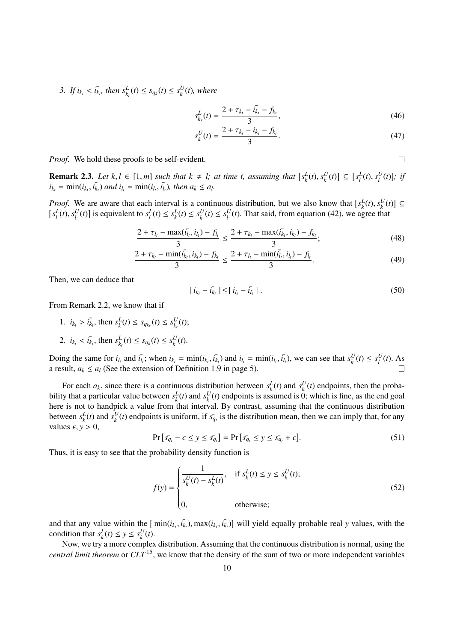*3. If*  $i_{k_t} < i_{k_t}$ , then  $s_{k_t}^L(t) \leq s_{q_k}(t) \leq s_k^U(t)$ , where

$$
s_{k_r}^L(t) = \frac{2 + \tau_{k_t} - \bar{i}_{k_t} - f_{k_t}}{3},\tag{46}
$$

$$
s_k^U(t) = \frac{2 + \tau_{k_t} - i_{k_t} - f_{k_t}}{3}.
$$
\n(47)

 $\Box$ 

*Proof.* We hold these proofs to be self-evident.

**Remark 2.3.** Let  $k, l \in [1, m]$  such that  $k \neq l$ ; at time t, assuming that  $[s_k^L(t), s_k^U(t)] \subseteq [s_l^L(t), s_l^U(t)]$ ; if  $i_l = \min(i_l, i_l)$  and  $i_l = \min(i_l, i_l)$  then  $a_l \leq a_l$ .  $i_{k_t} = \min(i_{k_t}, i_{k_t})$  and  $i_{l_t} = \min(i_{l_t}, i_{l_t})$ , then  $a_k \le a_l$ .

*Proof.* We are aware that each interval is a continuous distribution, but we also know that  $[s_k^L(t), s_k^U(t)] \subseteq [s_k^L(t), s_k^U(t)]$  is equivalent to  $s_k^L(t) \le s_k^U(t) \le s_k^U(t)$ . That said, from equation (42), we agree that  $[s_l^L(t), s_l^U(t)]$  is equivalent to  $s_l^L(t) \leq s_k^L(t) \leq s_l^U(t) \leq s_l^U(t)$ . That said, from equation (42), we agree that

$$
\frac{2+\tau_{l_t}-\max(\bar{i_{l_t}},i_{l_t})-f_{l_t}}{3} \le \frac{2+\tau_{k_t}-\max(\bar{i_{k_t}},i_{k_t})-f_{k_t}}{3};
$$
\n(48)

$$
\frac{2+\tau_{k_t} - \min(\bar{i}_{k_t}, i_{k_t}) - f_{k_t}}{3} \le \frac{2+\tau_{l_t} - \min(\bar{i}_{l_t}, i_{l_t}) - f_{l_t}}{3}.
$$
\n(49)

Then, we can deduce that

$$
|i_{k_t} - i_{k_t}| \leq |i_{l_t} - i_{l_t}|. \tag{50}
$$

From Remark 2.2, we know that if

- 1.  $i_{k_t} > i_{k_t}$ , then  $s_k^L(t) \leq s_{q_{k_r}}(t) \leq s_{k_t}^U(t)$ ;
- 2.  $i_{k_t} < \overline{i_{k_t}}$ , then  $s_{k_r}^L(t) \leq s_{q_k}(t) \leq s_k^U(t)$ .

Doing the same for  $i_{l_t}$  and  $i_{l_t}$ ; when  $i_{k_t} = \min(i_{k_t}, i_{k_t})$  and  $i_{l_t} = \min(i_{l_t}, i_{l_t})$ , we can see that  $s_k^U(t) \le s_l^U(t)$ . As a result,  $a_k \le a_l$  (See the extension of Definition 1.9 in page 5).

For each  $a_k$ , since there is a continuous distribution between  $s_k^L(t)$  and  $s_k^U(t)$  endpoints, then the probability that a particular value between  $s_k^L(t)$  and  $s_k^U(t)$  endpoints is assumed is 0; which is fine, as the end goal here is not to handpick a value from that interval. By contrast, assuming that the continuous distribution between  $s_k^L(t)$  and  $s_k^U(t)$  endpoints is uniform, if  $s_{q_t}$  is the distribution mean, then we can imply that, for any values  $\epsilon$ ,  $y > 0$ ,

$$
\Pr\left[s_{q_t} - \epsilon \le y \le s_{q_t}\right] = \Pr\left[s_{q_t} \le y \le s_{q_t} + \epsilon\right].\tag{51}
$$

Thus, it is easy to see that the probability density function is

$$
f(y) = \begin{cases} \frac{1}{s_k^U(t) - s_k^L(t)}, & \text{if } s_k^L(t) \le y \le s_k^U(t);\\ 0, & \text{otherwise}; \end{cases}
$$
(52)

and that any value within the  $[\min(i_k, i_k, i_k])$  will yield equally probable real *y* values, with the condition that  $s^L(t) \le y \le s^U(t)$ condition that  $s_k^L(t) \le y \le s_k^U(t)$ .

Now, we try a more complex distribution. Assuming that the continuous distribution is normal, using the *central limit theorem* or *CLT* <sup>15</sup>, we know that the density of the sum of two or more independent variables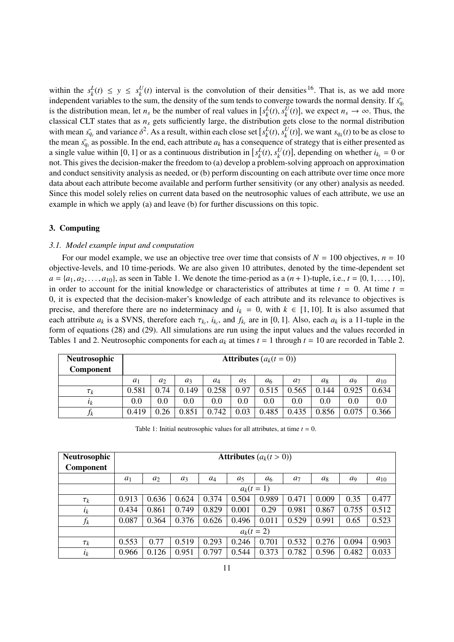within the  $s_k^L(t) \leq y \leq s_k^U(t)$  interval is the convolution of their densities <sup>16</sup>. That is, as we add more independent variables to the sum, the density of the sum tends to converge towards the normal density. If  $\bar{s_q}$ is the distribution mean, let  $n_s$  be the number of real values in  $[s_k^L(t), s_k^U(t)]$ , we expect  $n_s \to \infty$ . Thus, the classical CLT states that as *n*, gets sufficiently large, the distribution gets close to the normal distri classical CLT states that as *n<sup>s</sup>* gets sufficiently large, the distribution gets close to the normal distribution with mean  $\bar{s_q}$ , and variance  $\delta^2$ . As a result, within each close set  $[s_k^L(t), s_k^U(t)]$ , we want  $s_{q_k}(t)$  to be as close to the mean  $\bar{s_q}$  are possible. In the end, each attribute q, has a consequence of strategy tha the mean  $\bar{s_q}$  as possible. In the end, each attribute  $a_k$  has a consequence of strategy that is either presented as a single value within [0, 1] or as a continuous distribution in  $[s_k^L(t), s_k^U(t)]$ , depending on whether  $i_{k_t} = 0$  or<br>not This gives the decision maker the freedom to (a) develop a problem solving approach on approximation not. This gives the decision-maker the freedom to (a) develop a problem-solving approach on approximation and conduct sensitivity analysis as needed, or (b) perform discounting on each attribute over time once more data about each attribute become available and perform further sensitivity (or any other) analysis as needed. Since this model solely relies on current data based on the neutrosophic values of each attribute, we use an example in which we apply (a) and leave (b) for further discussions on this topic.

# 3. Computing

#### *3.1. Model example input and computation*

For our model example, we use an objective tree over time that consists of  $N = 100$  objectives,  $n = 10$ objective-levels, and 10 time-periods. We are also given 10 attributes, denoted by the time-dependent set  $a = \{a_1, a_2, \ldots, a_{10}\}$ , as seen in Table 1. We denote the time-period as a  $(n + 1)$ -tuple, i.e.,  $t = \{0, 1, \ldots, 10\}$ , in order to account for the initial knowledge or characteristics of attributes at time  $t = 0$ . At time  $t =$ 0, it is expected that the decision-maker's knowledge of each attribute and its relevance to objectives is precise, and therefore there are no indeterminacy and  $i_k = 0$ , with  $k \in [1, 10]$ . It is also assumed that each attribute  $a_k$  is a SVNS, therefore each  $\tau_{k_t}$ ,  $i_{k_t}$ , and  $f_{k_t}$  are in [0, 1]. Also, each  $a_k$  is a 11-tuple in the form of equations (28) and (29). All simulations are run using the input values and the valu form of equations (28) and (29). All simulations are run using the input values and the values recorded in Tables 1 and 2. Neutrosophic components for each  $a_k$  at times  $t = 1$  through  $t = 10$  are recorded in Table 2.

| Neutrosophic<br>Component |       | <b>Attributes</b> $(a_k(t=0))$ |         |       |       |                |                |       |                |          |  |  |  |
|---------------------------|-------|--------------------------------|---------|-------|-------|----------------|----------------|-------|----------------|----------|--|--|--|
|                           | $a_1$ | $a_2$                          | $a_3$   | $a_4$ | $a_5$ | a <sub>6</sub> | a <sub>7</sub> | $a_8$ | a <sub>9</sub> | $a_{10}$ |  |  |  |
| $\tau_k$                  | 0.581 | 0.74                           | 0.149   | 0.258 | 0.97  | 0.515          | 0.565          | 0.144 | 0.925          | 0.634    |  |  |  |
| $l_k$                     | 0.0   | $0.0\,$                        | $0.0\,$ | 0.0   | 0.0   | 0.0            | 0.0            | 0.0   | 0.0            | 0.0      |  |  |  |
| Jk                        | 0.419 | 0.26                           | 0.851   | 0.742 | 0.03  | 0.485          | 0.435          | 0.856 | 0.075          | 0.366    |  |  |  |

Table 1: Initial neutrosophic values for all attributes, at time  $t = 0$ .

| Neutrosophic     |       | <b>Attributes</b> $(a_k(t>0))$ |       |       |       |                |                |       |       |          |  |  |  |
|------------------|-------|--------------------------------|-------|-------|-------|----------------|----------------|-------|-------|----------|--|--|--|
| <b>Component</b> |       |                                |       |       |       |                |                |       |       |          |  |  |  |
|                  | $a_1$ | $a_2$                          | $a_3$ | $a_4$ | $a_5$ | a <sub>6</sub> | a <sub>7</sub> | $a_8$ | $a_9$ | $a_{10}$ |  |  |  |
|                  |       |                                |       |       |       | $a_k(t = 1)$   |                |       |       |          |  |  |  |
| $\tau_k$         | 0.913 | 0.636                          | 0.624 | 0.374 | 0.504 | 0.989          | 0.471          | 0.009 | 0.35  | 0.477    |  |  |  |
| $l_k$            | 0.434 | 0.861                          | 0.749 | 0.829 | 0.001 | 0.29           | 0.981          | 0.867 | 0.755 | 0.512    |  |  |  |
| $f_k$            | 0.087 | 0.364                          | 0.376 | 0.626 | 0.496 | 0.011          | 0.529          | 0.991 | 0.65  | 0.523    |  |  |  |
|                  |       | $a_k(t = 2)$                   |       |       |       |                |                |       |       |          |  |  |  |
| $\tau_k$         | 0.553 | 0.77                           | 0.519 | 0.293 | 0.246 | 0.701          | 0.532          | 0.276 | 0.094 | 0.903    |  |  |  |
| $\iota_k$        | 0.966 | 0.126                          | 0.951 | 0.797 | 0.544 | 0.373          | 0.782          | 0.596 | 0.482 | 0.033    |  |  |  |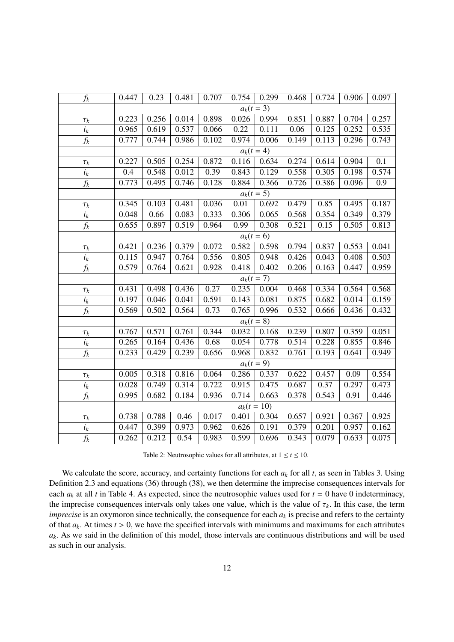| $f_k$            | 0.447 | 0.23  | 0.481 | 0.707 | 0.754        | 0.299         | 0.468 | 0.724 | 0.906 | 0.097 |
|------------------|-------|-------|-------|-------|--------------|---------------|-------|-------|-------|-------|
|                  |       |       |       |       |              | $a_k(t = 3)$  |       |       |       |       |
| $\tau_k$         | 0.223 | 0.256 | 0.014 | 0.898 | 0.026        | 0.994         | 0.851 | 0.887 | 0.704 | 0.257 |
| $i_k$            | 0.965 | 0.619 | 0.537 | 0.066 | 0.22         | 0.111         | 0.06  | 0.125 | 0.252 | 0.535 |
| $f_k$            | 0.777 | 0.744 | 0.986 | 0.102 | 0.974        | 0.006         | 0.149 | 0.113 | 0.296 | 0.743 |
|                  |       |       |       |       | $a_k(t = 4)$ |               |       |       |       |       |
| $\tau_k$         | 0.227 | 0.505 | 0.254 | 0.872 | 0.116        | 0.634         | 0.274 | 0.614 | 0.904 | 0.1   |
| $i_k$            | 0.4   | 0.548 | 0.012 | 0.39  | 0.843        | 0.129         | 0.558 | 0.305 | 0.198 | 0.574 |
| $f_k$            | 0.773 | 0.495 | 0.746 | 0.128 | 0.884        | 0.366         | 0.726 | 0.386 | 0.096 | 0.9   |
|                  |       |       |       |       |              | $a_k(t=5)$    |       |       |       |       |
| $\tau_k$         | 0.345 | 0.103 | 0.481 | 0.036 | 0.01         | 0.692         | 0.479 | 0.85  | 0.495 | 0.187 |
| $i_k$            | 0.048 | 0.66  | 0.083 | 0.333 | 0.306        | 0.065         | 0.568 | 0.354 | 0.349 | 0.379 |
| $\overline{f_k}$ | 0.655 | 0.897 | 0.519 | 0.964 | 0.99         | 0.308         | 0.521 | 0.15  | 0.505 | 0.813 |
|                  |       |       |       |       | $a_k(t=6)$   |               |       |       |       |       |
| $\tau_k$         | 0.421 | 0.236 | 0.379 | 0.072 | 0.582        | 0.598         | 0.794 | 0.837 | 0.553 | 0.041 |
| $i_k$            | 0.115 | 0.947 | 0.764 | 0.556 | 0.805        | 0.948         | 0.426 | 0.043 | 0.408 | 0.503 |
| $f_k$            | 0.579 | 0.764 | 0.621 | 0.928 | 0.418        | 0.402         | 0.206 | 0.163 | 0.447 | 0.959 |
|                  |       |       |       |       |              | $a_k(t = 7)$  |       |       |       |       |
| $\tau_k$         | 0.431 | 0.498 | 0.436 | 0.27  | 0.235        | 0.004         | 0.468 | 0.334 | 0.564 | 0.568 |
| $i_k$            | 0.197 | 0.046 | 0.041 | 0.591 | 0.143        | 0.081         | 0.875 | 0.682 | 0.014 | 0.159 |
| $f_k$            | 0.569 | 0.502 | 0.564 | 0.73  | 0.765        | 0.996         | 0.532 | 0.666 | 0.436 | 0.432 |
|                  |       |       |       |       |              | $a_k(t=8)$    |       |       |       |       |
| $\tau_k$         | 0.767 | 0.571 | 0.761 | 0.344 | 0.032        | 0.168         | 0.239 | 0.807 | 0.359 | 0.051 |
| $i_k$            | 0.265 | 0.164 | 0.436 | 0.68  | 0.054        | 0.778         | 0.514 | 0.228 | 0.855 | 0.846 |
| $f_k$            | 0.233 | 0.429 | 0.239 | 0.656 | 0.968        | 0.832         | 0.761 | 0.193 | 0.641 | 0.949 |
|                  |       |       |       |       | $a_k(t = 9)$ |               |       |       |       |       |
| $\tau_k$         | 0.005 | 0.318 | 0.816 | 0.064 | 0.286        | 0.337         | 0.622 | 0.457 | 0.09  | 0.554 |
| $i_k$            | 0.028 | 0.749 | 0.314 | 0.722 | 0.915        | 0.475         | 0.687 | 0.37  | 0.297 | 0.473 |
| $f_k$            | 0.995 | 0.682 | 0.184 | 0.936 | 0.714        | 0.663         | 0.378 | 0.543 | 0.91  | 0.446 |
|                  |       |       |       |       |              | $a_k(t = 10)$ |       |       |       |       |
| $\tau_k$         | 0.738 | 0.788 | 0.46  | 0.017 | 0.401        | 0.304         | 0.657 | 0.921 | 0.367 | 0.925 |
| $i_k$            | 0.447 | 0.399 | 0.973 | 0.962 | 0.626        | 0.191         | 0.379 | 0.201 | 0.957 | 0.162 |
| $f_k$            | 0.262 | 0.212 | 0.54  | 0.983 | 0.599        | 0.696         | 0.343 | 0.079 | 0.633 | 0.075 |

Table 2: Neutrosophic values for all attributes, at  $1 \le t \le 10$ .

We calculate the score, accuracy, and certainty functions for each  $a_k$  for all  $t$ , as seen in Tables 3. Using Definition 2.3 and equations (36) through (38), we then determine the imprecise consequences intervals for each  $a_k$  at all *t* in Table 4. As expected, since the neutrosophic values used for  $t = 0$  have 0 indeterminacy, the imprecise consequences intervals only takes one value, which is the value of  $\tau_k$ . In this case, the term *imprecise* is an oxymoron since technically, the consequence for each  $a_k$  is precise and refers to the certainty of that  $a_k$ . At times  $t > 0$ , we have the specified intervals with minimums and maximums for each attributes  $a_k$ . As we said in the definition of this model, those intervals are continuous distributions and will be used as such in our analysis.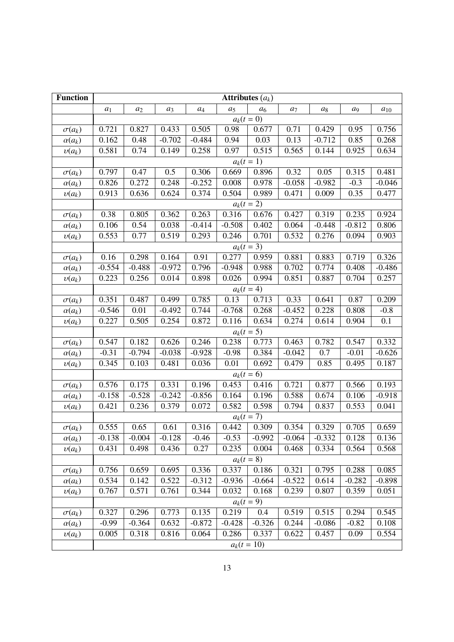| <b>Function</b> | Attributes $(a_k)$ |          |          |                  |                |              |                      |          |                |          |  |
|-----------------|--------------------|----------|----------|------------------|----------------|--------------|----------------------|----------|----------------|----------|--|
|                 | $a_1$              | $a_2$    | $a_3$    | $\mathfrak{a}_4$ | a <sub>5</sub> | $a_6$        | $\ensuremath{a_{7}}$ | $a_8$    | a <sub>9</sub> | $a_{10}$ |  |
|                 |                    |          |          |                  | $a_k(t=0)$     |              |                      |          |                |          |  |
| $\sigma(a_k)$   | 0.721              | 0.827    | 0.433    | 0.505            | 0.98           | 0.677        | 0.71                 | 0.429    | 0.95           | 0.756    |  |
| $\alpha(a_k)$   | 0.162              | 0.48     | $-0.702$ | $-0.484$         | 0.94           | 0.03         | 0.13                 | $-0.712$ | 0.85           | 0.268    |  |
| $v(a_k)$        | 0.581              | 0.74     | 0.149    | 0.258            | 0.97           | 0.515        | 0.565                | 0.144    | 0.925          | 0.634    |  |
|                 |                    |          |          |                  | $a_k(t = 1)$   |              |                      |          |                |          |  |
| $\sigma(a_k)$   | 0.797              | 0.47     | 0.5      | 0.306            | 0.669          | 0.896        | 0.32                 | 0.05     | 0.315          | 0.481    |  |
| $\alpha(a_k)$   | 0.826              | 0.272    | 0.248    | $-0.252$         | 0.008          | 0.978        | $-0.058$             | $-0.982$ | $-0.3$         | $-0.046$ |  |
| $v(a_k)$        | 0.913              | 0.636    | 0.624    | 0.374            | 0.504          | 0.989        | 0.471                | 0.009    | 0.35           | 0.477    |  |
|                 |                    |          |          |                  | $a_k(t = 2)$   |              |                      |          |                |          |  |
| $\sigma(a_k)$   | 0.38               | 0.805    | 0.362    | 0.263            | 0.316          | 0.676        | 0.427                | 0.319    | 0.235          | 0.924    |  |
| $\alpha(a_k)$   | 0.106              | 0.54     | 0.038    | $-0.414$         | $-0.508$       | 0.402        | 0.064                | $-0.448$ | $-0.812$       | 0.806    |  |
| $v(a_k)$        | 0.553              | 0.77     | 0.519    | 0.293            | 0.246          | 0.701        | 0.532                | 0.276    | 0.094          | 0.903    |  |
|                 |                    |          |          |                  | $a_k(t = 3)$   |              |                      |          |                |          |  |
| $\sigma(a_k)$   | 0.16               | 0.298    | 0.164    | 0.91             | 0.277          | 0.959        | 0.881                | 0.883    | 0.719          | 0.326    |  |
| $\alpha(a_k)$   | $-0.554$           | $-0.488$ | $-0.972$ | 0.796            | $-0.948$       | 0.988        | 0.702                | 0.774    | 0.408          | $-0.486$ |  |
| $v(a_k)$        | 0.223              | 0.256    | 0.014    | 0.898            | 0.026          | 0.994        | 0.851                | 0.887    | 0.704          | 0.257    |  |
|                 |                    |          |          |                  | $a_k(t = 4)$   |              |                      |          |                |          |  |
| $\sigma(a_k)$   | 0.351              | 0.487    | 0.499    | 0.785            | 0.13           | 0.713        | 0.33                 | 0.641    | 0.87           | 0.209    |  |
| $\alpha(a_k)$   | $-0.546$           | 0.01     | $-0.492$ | 0.744            | $-0.768$       | 0.268        | $-0.452$             | 0.228    | 0.808          | $-0.8$   |  |
| $v(a_k)$        | 0.227              | 0.505    | 0.254    | 0.872            | 0.116          | 0.634        | 0.274                | 0.614    | 0.904          | 0.1      |  |
|                 | $a_k(t = 5)$       |          |          |                  |                |              |                      |          |                |          |  |
| $\sigma(a_k)$   | 0.547              | 0.182    | 0.626    | 0.246            | 0.238          | 0.773        | 0.463                | 0.782    | 0.547          | 0.332    |  |
| $\alpha(a_k)$   | $-0.31$            | $-0.794$ | $-0.038$ | $-0.928$         | $-0.98$        | 0.384        | $-0.042$             | 0.7      | $-0.01$        | $-0.626$ |  |
| $v(a_k)$        | 0.345              | 0.103    | 0.481    | 0.036            | 0.01           | 0.692        | 0.479                | 0.85     | 0.495          | 0.187    |  |
|                 |                    |          |          |                  | $a_k(t = 6)$   |              |                      |          |                |          |  |
| $\sigma(a_k)$   | 0.576              | 0.175    | 0.331    | 0.196            | 0.453          | 0.416        | 0.721                | 0.877    | 0.566          | 0.193    |  |
| $\alpha(a_k)$   | $-0.158$           | $-0.528$ | $-0.242$ | $-0.856$         | 0.164          | 0.196        | 0.588                | 0.674    | 0.106          | $-0.918$ |  |
| $v(a_k)$        | 0.421              | 0.236    | 0.379    | 0.072            | 0.582          | 0.598        | 0.794                | 0.837    | 0.553          | 0.041    |  |
|                 |                    |          |          |                  | $a_k(t = 7)$   |              |                      |          |                |          |  |
| $\sigma(a_k)$   | 0.555              | 0.65     | 0.61     | 0.316            | 0.442          | 0.309        | 0.354                | 0.329    | 0.705          | 0.659    |  |
| $\alpha(a_k)$   | $-0.138$           | $-0.004$ | $-0.128$ | $-0.46$          | $-0.53$        | $-0.992$     | $-0.064$             | $-0.332$ | 0.128          | 0.136    |  |
| $v(a_k)$        | 0.431              | 0.498    | 0.436    | 0.27             | 0.235          | 0.004        | 0.468                | 0.334    | 0.564          | 0.568    |  |
|                 |                    |          |          |                  |                | $a_k(t = 8)$ |                      |          |                |          |  |
| $\sigma(a_k)$   | 0.756              | 0.659    | 0.695    | 0.336            | 0.337          | 0.186        | 0.321                | 0.795    | 0.288          | 0.085    |  |
| $\alpha(a_k)$   | 0.534              | 0.142    | 0.522    | $-0.312$         | $-0.936$       | $-0.664$     | $-0.522$             | 0.614    | $-0.282$       | $-0.898$ |  |
| $v(a_k)$        | 0.767              | 0.571    | 0.761    | 0.344            | 0.032          | 0.168        | 0.239                | 0.807    | 0.359          | 0.051    |  |
|                 |                    |          |          |                  | $a_k(t = 9)$   |              |                      |          |                |          |  |
| $\sigma(a_k)$   | 0.327              | 0.296    | 0.773    | 0.135            | 0.219          | 0.4          | 0.519                | 0.515    | 0.294          | 0.545    |  |
| $\alpha(a_k)$   | $-0.99$            | $-0.364$ | 0.632    | $-0.872$         | $-0.428$       | $-0.326$     | 0.244                | $-0.086$ | $-0.82$        | 0.108    |  |
| $v(a_k)$        | 0.005              | 0.318    | 0.816    | 0.064            | 0.286          | 0.337        | 0.622                | 0.457    | 0.09           | 0.554    |  |
|                 |                    |          |          |                  | $a_k(t = 10)$  |              |                      |          |                |          |  |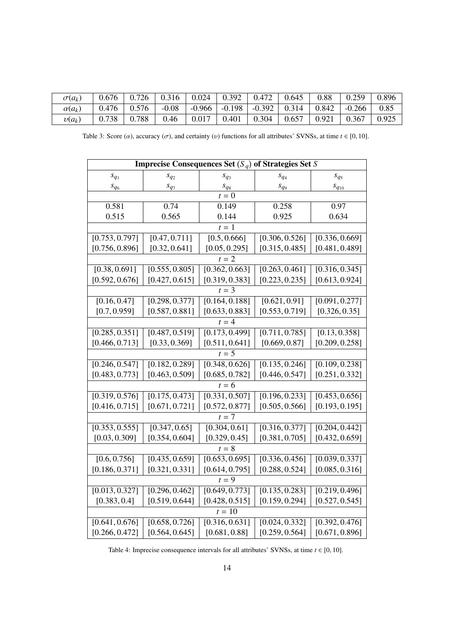| $\sigma(a_k)$ | 0.676 | 0.726 | 0.316   | 0.024    | 0.392    | 0.472    | 0.645 | 0.88  | 0.259    | 0.896 |
|---------------|-------|-------|---------|----------|----------|----------|-------|-------|----------|-------|
| $\alpha(a_k)$ | 0.476 | 0.576 | $-0.08$ | $-0.966$ | $-0.198$ | $-0.392$ | 0.314 | 0.842 | $-0.266$ | 0.85  |
| $v(a_k)$      | 0.738 | 0.788 | 0.46    | 0.017    | 0.401    | 0.304    | 0.657 | 0.921 | 0.367    | 0.925 |
|               |       |       |         |          |          |          |       |       |          |       |

Table 3: Score ( $\alpha$ ), accuracy ( $\sigma$ ), and certainty (*v*) functions for all attributes' SVNSs, at time  $t \in [0, 10]$ .

|                | Imprecise Consequences Set $(S_a)$ of Strategies Set S |                |                             |                            |
|----------------|--------------------------------------------------------|----------------|-----------------------------|----------------------------|
| $s_{q_1}$      | $S_{q_2}$                                              | $S_{q_3}$      | $S_{q_4}$                   | $s_{q_5}$                  |
| $s_{q_6}$      | $s_{q_7}$                                              | $s_{q_8}$      | $s_{q9}$                    | $s_{q_{10}}$               |
|                |                                                        | $t=0$          |                             |                            |
| 0.581          | 0.74                                                   | 0.149          | 0.258                       | 0.97                       |
| 0.515          | 0.565                                                  | 0.144          | 0.925                       | 0.634                      |
|                |                                                        | $t=1$          |                             |                            |
| [0.753, 0.797] | [0.47, 0.711]                                          | [0.5, 0.666]   | [0.306, 0.526]              | [0.336, 0.669]             |
| [0.756, 0.896] | [0.32, 0.641]                                          | [0.05, 0.295]  | [0.315, 0.485]              | [0.481, 0.489]             |
|                |                                                        | $t=2$          |                             |                            |
| [0.38, 0.691]  | [0.555, 0.805]                                         | [0.362, 0.663] | [0.263, 0.461]              | [0.316, 0.345]             |
| [0.592, 0.676] | [0.427, 0.615]                                         | [0.319, 0.383] | [0.223, 0.235]              | [0.613, 0.924]             |
|                |                                                        | $t = 3$        |                             |                            |
| [0.16, 0.47]   | [0.298, 0.377]                                         | [0.164, 0.188] | [0.621, 0.91]               | [0.091, 0.277]             |
| [0.7, 0.959]   | [0.587, 0.881]                                         | [0.633, 0.883] | [0.553, 0.719]              | [0.326, 0.35]              |
|                |                                                        | $t = 4$        |                             |                            |
| [0.285, 0.351] | [0.487, 0.519]                                         | [0.173, 0.499] | [0.711, 0.785]              | $\overline{[0.13, 0.358]}$ |
| [0.466, 0.713] | [0.33, 0.369]                                          | [0.511, 0.641] | [0.669, 0.87]               | [0.209, 0.258]             |
|                |                                                        | $t = 5$        |                             |                            |
| [0.246, 0.547] | [0.182, 0.289]                                         | [0.348, 0.626] | [0.135, 0.246]              | [0.109, 0.238]             |
| [0.483, 0.773] | [0.463, 0.509]                                         | [0.685, 0.782] | [0.446, 0.547]              | [0.251, 0.332]             |
|                |                                                        | $t=6$          |                             |                            |
| [0.319, 0.576] | [0.175, 0.473]                                         | [0.331, 0.507] | $\overline{[0.196, 0.233]}$ | [0.453, 0.656]             |
| [0.416, 0.715] | [0.671, 0.721]                                         | [0.572, 0.877] | [0.505, 0.566]              | [0.193, 0.195]             |
|                |                                                        | $t = 7$        |                             |                            |
| [0.353, 0.555] | [0.347, 0.65]                                          | [0.304, 0.61]  | [0.316, 0.377]              | [0.204, 0.442]             |
| [0.03, 0.309]  | [0.354, 0.604]                                         | [0.329, 0.45]  | [0.381, 0.705]              | [0.432, 0.659]             |
|                |                                                        | $t=8$          |                             |                            |
| [0.6, 0.756]   | [0.435, 0.659]                                         | [0.653, 0.695] | [0.336, 0.456]              | [0.039, 0.337]             |
| [0.186, 0.371] | [0.321, 0.331]                                         | [0.614, 0.795] | [0.288, 0.524]              | [0.085, 0.316]             |
|                |                                                        | $t = 9$        |                             |                            |
| [0.013, 0.327] | [0.296, 0.462]                                         | [0.649, 0.773] | [0.135, 0.283]              | [0.219, 0.496]             |
| [0.383, 0.4]   | [0.519, 0.644]                                         | [0.428, 0.515] | [0.159, 0.294]              | [0.527, 0.545]             |
|                |                                                        | $t=10$         |                             |                            |
| [0.641, 0.676] | [0.658, 0.726]                                         | [0.316, 0.631] | [0.024, 0.332]              | [0.392, 0.476]             |
| [0.266, 0.472] | [0.564, 0.645]                                         | [0.681, 0.88]  | [0.259, 0.564]              | [0.671, 0.896]             |

Table 4: Imprecise consequence intervals for all attributes' SVNSs, at time  $t \in [0, 10]$ .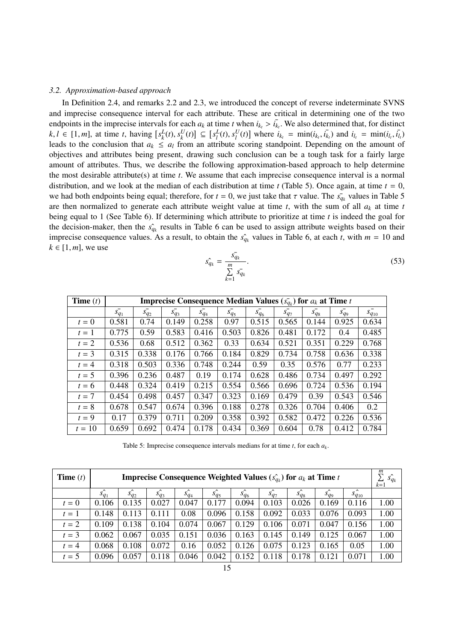#### *3.2. Approximation-based approach*

In Definition 2.4, and remarks 2.2 and 2.3, we introduced the concept of reverse indeterminate SVNS and imprecise consequence interval for each attribute. These are critical in determining one of the two endpoints in the imprecise intervals for each  $a_k$  at time *t* when  $i_{k_t} > i_{k_t}$ . We also determined that, for distinct  $k_l \in [1, m]$  at time *t* having  $[s^L(t), s^U(t)] \subset [s^L(t), s^U(t)]$  where  $i_t = \min(i, i_t)$  and  $i_t = \min(i, i_t)$  $k, l \in [1, m]$ , at time t, having  $[s_k^L(t), s_k^U(t)] \subseteq [s_l^L(t), s_l^U(t)]$  where  $i_{k_t} = \min(i_k, i_k)$  and  $i_{l_t} = \min(i_l, i_l)$ <br>leads to the conclusion that  $a_k \le a_k$  from an attribute scoring standpoint. Depending on the amount of leads to the conclusion that  $a_k \le a_l$  from an attribute scoring standpoint. Depending on the amount of objectives and attributes being present, drawing such conclusion can be a tough task for a fairly large amount of attributes. Thus, we describe the following approximation-based approach to help determine the most desirable attribute(s) at time *t*. We assume that each imprecise consequence interval is a normal distribution, and we look at the median of each distribution at time  $t$  (Table 5). Once again, at time  $t = 0$ , we had both endpoints being equal; therefore, for  $t = 0$ , we just take that  $\tau$  value. The  $s\bar{q}_k$  values in Table 5<br>are then normalized to generate each attribute weight value at time t, with the sum of all as at time are then normalized to generate each attribute weight value at time *t*, with the sum of all *a<sup>k</sup>* at time *t* being equal to 1 (See Table 6). If determining which attribute to prioritize at time *t* is indeed the goal for the decision-maker, then the  $\hat{s}_{q_k}$  results in Table 6 can be used to assign attribute weights based on their imprecise consequence values. As a result, to obtain the  $s_{q_k}$  values in Table 6, at each *t*, with  $m = 10$  and  $k \in [1, m]$ , we use

$$
\hat{sq}_k = \frac{\bar{sq}_k}{\sum\limits_{k=1}^m \bar{sq}_k}.\tag{53}
$$

| <b>Time</b> $(t)$ |           |             | <b>Imprecise Consequence Median Values</b> $(s_{q_k})$ for $a_k$ at Time t |             |           |           |             |           |             |                |
|-------------------|-----------|-------------|----------------------------------------------------------------------------|-------------|-----------|-----------|-------------|-----------|-------------|----------------|
|                   | $s_{q_1}$ | $s_{q_2}^-$ | $s_{q_3}^-$                                                                | $s_{q_4}^-$ | $s_{q_5}$ | $s_{q_6}$ | $s_{q_7}^-$ | $S_{q_8}$ | $s_{q_9}^-$ | $s_{q_{10}}^-$ |
| $t=0$             | 0.581     | 0.74        | 0.149                                                                      | 0.258       | 0.97      | 0.515     | 0.565       | 0.144     | 0.925       | 0.634          |
| $t=1$             | 0.775     | 0.59        | 0.583                                                                      | 0.416       | 0.503     | 0.826     | 0.481       | 0.172     | 0.4         | 0.485          |
| $t=2$             | 0.536     | 0.68        | 0.512                                                                      | 0.362       | 0.33      | 0.634     | 0.521       | 0.351     | 0.229       | 0.768          |
| $t=3$             | 0.315     | 0.338       | 0.176                                                                      | 0.766       | 0.184     | 0.829     | 0.734       | 0.758     | 0.636       | 0.338          |
| $t = 4$           | 0.318     | 0.503       | 0.336                                                                      | 0.748       | 0.244     | 0.59      | 0.35        | 0.576     | 0.77        | 0.233          |
| $t=5$             | 0.396     | 0.236       | 0.487                                                                      | 0.19        | 0.174     | 0.628     | 0.486       | 0.734     | 0.497       | 0.292          |
| $t=6$             | 0.448     | 0.324       | 0.419                                                                      | 0.215       | 0.554     | 0.566     | 0.696       | 0.724     | 0.536       | 0.194          |
| $t=7$             | 0.454     | 0.498       | 0.457                                                                      | 0.347       | 0.323     | 0.169     | 0.479       | 0.39      | 0.543       | 0.546          |
| $t=8$             | 0.678     | 0.547       | 0.674                                                                      | 0.396       | 0.188     | 0.278     | 0.326       | 0.704     | 0.406       | 0.2            |
| $t=9$             | 0.17      | 0.379       | 0.711                                                                      | 0.209       | 0.358     | 0.392     | 0.582       | 0.472     | 0.226       | 0.536          |
| $t = 10$          | 0.659     | 0.692       | 0.474                                                                      | 0.178       | 0.434     | 0.369     | 0.604       | 0.78      | 0.412       | 0.784          |

Table 5: Imprecise consequence intervals medians for at time *t*, for each *a<sup>k</sup>* .

| <b>Time</b> $(t)$ |           |           |                 |           |           |           | <b>Imprecise Consequence Weighted Values</b> $(s_{a_k})$ for $a_k$ at Time t |          |           |              | m<br>$\hat{s_{q_k}}$<br>$k = 1$ |
|-------------------|-----------|-----------|-----------------|-----------|-----------|-----------|------------------------------------------------------------------------------|----------|-----------|--------------|---------------------------------|
|                   | $s_{q_1}$ | $S_{q_2}$ | $\hat{s_{q_3}}$ | $S_{q_4}$ | $S_{q_5}$ | $S_{q_6}$ | $\hat{S_{q}}_7$                                                              | $S_{q8}$ | $S_{q_9}$ | $s_{q_{10}}$ |                                 |
| $t=0$             | 0.106     | 0.135     | 0.027           | 0.047     | 0.177     | 0.094     | 0.103                                                                        | 0.026    | 0.169     | 0.116        | 1.00                            |
| $t=1$             | 0.148     | 0.113     | 0.111           | 0.08      | 0.096     | 0.158     | 0.092                                                                        | 0.033    | 0.076     | 0.093        | 1.00                            |
| $t=2$             | 0.109     | 0.138     | 0.104           | 0.074     | 0.067     | 0.129     | 0.106                                                                        | 0.071    | 0.047     | 0.156        | 1.00                            |
| $t=3$             | 0.062     | 0.067     | 0.035           | 0.151     | 0.036     | 0.163     | 0.145                                                                        | 0.149    | 0.125     | 0.067        | 1.00                            |
| $t = 4$           | 0.068     | 0.108     | 0.072           | 0.16      | 0.052     | 0.126     | 0.075                                                                        | 0.123    | 0.165     | 0.05         | 1.00                            |
| $t=5$             | 0.096     | 0.057     | 0.118           | 0.046     | 0.042     | 0.152     | 0.118                                                                        | 0.178    | 0.121     | 0.071        | 1.00                            |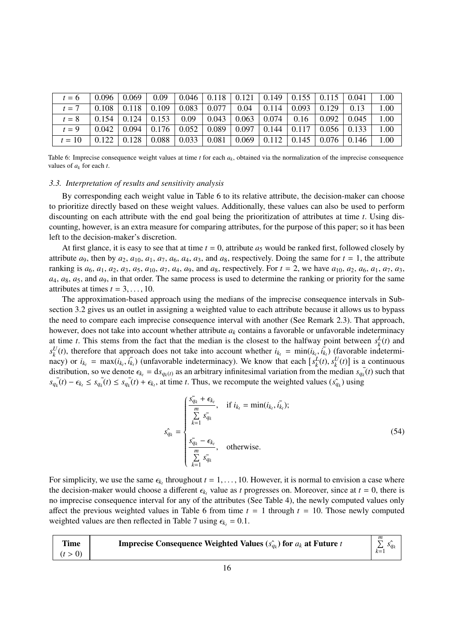| $t=6$    | 0.096 | 0.069                           | 0.09                                                                                 |      |                                    |                                                        |                   |                                             | $\mid$ 0.046 $\mid$ 0.118 $\mid$ 0.121 $\mid$ 0.149 $\mid$ 0.155 $\mid$ 0.115 $\mid$ 0.041 $\mid$ | 1.00     |
|----------|-------|---------------------------------|--------------------------------------------------------------------------------------|------|------------------------------------|--------------------------------------------------------|-------------------|---------------------------------------------|---------------------------------------------------------------------------------------------------|----------|
| $t=7$    | 0.108 | $\vert 0.118 \vert 0.109 \vert$ |                                                                                      |      |                                    | $\vert 0.083 \vert 0.077 \vert 0.04 \vert 0.114 \vert$ | $0.093 \pm 0.129$ |                                             | 0.13                                                                                              | $1.00\,$ |
| $t = 8$  | 0.154 | $\mid 0.124 \mid$               | 0.153                                                                                | 0.09 |                                    | $\vert 0.043 \vert 0.063 \vert 0.074 \vert$            | 0.16              | $\pm 0.092$                                 | 0.045                                                                                             | 1.00     |
| $t=9$    | 0.042 |                                 | $\mid$ 0.094 $\mid$ 0.176 $\mid$ 0.052 $\mid$ 0.089 $\mid$ 0.097 $\mid$ 0.144 $\mid$ |      |                                    |                                                        |                   | $\vert 0.117 \vert 0.056 \vert 0.133 \vert$ |                                                                                                   | 1.00     |
| $t = 10$ | 0.122 | 0.128                           | 0.088                                                                                |      | $0.033 \mid 0.081 \mid 0.069 \mid$ | 0.112                                                  | 0.145             | $\vert 0.076 \vert 0.146 \vert$             |                                                                                                   | 1.00     |

Table 6: Imprecise consequence weight values at time *t* for each *a<sup>k</sup>* , obtained via the normalization of the imprecise consequence values of  $a_k$  for each  $t$ .

#### *3.3. Interpretation of results and sensitivity analysis*

By corresponding each weight value in Table 6 to its relative attribute, the decision-maker can choose to prioritize directly based on these weight values. Additionally, these values can also be used to perform discounting on each attribute with the end goal being the prioritization of attributes at time *t*. Using discounting, however, is an extra measure for comparing attributes, for the purpose of this paper; so it has been left to the decision-maker's discretion.

At first glance, it is easy to see that at time  $t = 0$ , attribute  $a_5$  would be ranked first, followed closely by attribute  $a_9$ , then by  $a_2$ ,  $a_{10}$ ,  $a_1$ ,  $a_7$ ,  $a_6$ ,  $a_4$ ,  $a_3$ , and  $a_8$ , respectively. Doing the same for  $t = 1$ , the attribute ranking is  $a_6$ ,  $a_1$ ,  $a_2$ ,  $a_3$ ,  $a_5$ ,  $a_{10}$ ,  $a_7$ ,  $a_4$ ,  $a_9$ , and  $a_8$ , respectively. For  $t = 2$ , we have  $a_{10}$ ,  $a_2$ ,  $a_6$ ,  $a_1$ ,  $a_7$ ,  $a_3$ , *a*4, *a*8, *a*5, and *a*9, in that order. The same process is used to determine the ranking or priority for the same attributes at times  $t = 3, \ldots, 10$ .

The approximation-based approach using the medians of the imprecise consequence intervals in Subsection 3.2 gives us an outlet in assigning a weighted value to each attribute because it allows us to bypass the need to compare each imprecise consequence interval with another (See Remark 2.3). That approach, however, does not take into account whether attribute *a<sup>k</sup>* contains a favorable or unfavorable indeterminacy at time *t*. This stems from the fact that the median is the closest to the halfway point between  $s_k^L(t)$  and  $s_k^U(t)$ , therefore that approach does not take into account whether  $i_{k_t} = \min(i_{k_t}, i_{k_t})$  (favorable indetermi- $\kappa_k$  (b), and the maximum dependence of the material determinacy). We know that each  $[s_k^L(t), s_k^U(t)]$  is a continuous<br>distribution so we denote  $c_k = ds$  (e.g.s. an arbitrary infinitesimal variation from the median s. (t) su distribution, so we denote  $\epsilon_{k_t} = ds_{q_k(t)}$  as an arbitrary infinitesimal variation from the median  $s_{q_k}(t)$  such that  $s_{q_k}(t) - \epsilon_{k_t} \leq s_{q_k}(t) \leq s_{q_k}(t) + \epsilon_{k_t}$ , at time t. Thus, we recompute the weighted values  $(s_{q_k})$  using

$$
\hat{s_{q_k}} = \begin{cases}\n\frac{\bar{s_{q_k}} + \epsilon_{k_t}}{m}, & \text{if } i_{k_t} = \min(i_{k_t}, i_{k_t}); \\
\sum_{k=1}^{n} \bar{s_{q_k}} \\
\frac{\bar{s_{q_k}} - \epsilon_{k_t}}{m}, & \text{otherwise.} \\
\sum_{k=1}^{m} \bar{s_{q_k}}\n\end{cases}
$$
\n(54)

For simplicity, we use the same  $\epsilon_{k_t}$  throughout  $t = 1, \ldots, 10$ . However, it is normal to envision a case where the decision-maker would choose a different  $\epsilon$ , value as t progresses on Moreover, since at  $t = 0$ , ther the decision-maker would choose a different  $\epsilon_{k_t}$  value as *t* progresses on. Moreover, since at  $t = 0$ , there is no imprecise consequence interval for any of the attributes (See Table 4), the newly computed values only affect the previous weighted values in Table 6 from time  $t = 1$  through  $t = 10$ . Those newly computed weighted values are then reflected in Table 7 using  $\epsilon_{k} = 0.1$ .

|  | <b>Time</b> | <b>Imprecise Consequence Weighted Values</b> $(s_{q_k})$ for $a_k$ at Future t | m |
|--|-------------|--------------------------------------------------------------------------------|---|
|--|-------------|--------------------------------------------------------------------------------|---|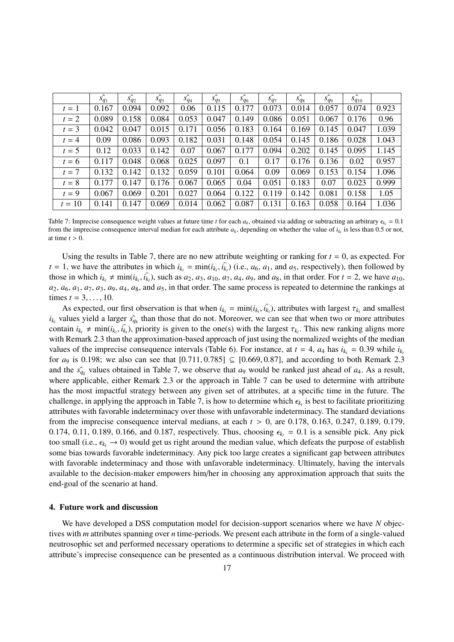|          | $s_{q_1}$ | $s_{q_2}$ | $s_{q_3}$ | $s_{q_4}$ | $s_{q_5}$ | $s_{q_6}$ | $s_{q_7}$ | $s_{q_8}$ | $s_{q_9}$ | $s_{q_{10}}^{\wedge}$ |       |
|----------|-----------|-----------|-----------|-----------|-----------|-----------|-----------|-----------|-----------|-----------------------|-------|
| $t=1$    | 0.167     | 0.094     | 0.092     | 0.06      | 0.115     | 0.177     | 0.073     | 0.014     | 0.057     | 0.074                 | 0.923 |
| $t=2$    | 0.089     | 0.158     | 0.084     | 0.053     | 0.047     | 0.149     | 0.086     | 0.051     | 0.067     | 0.176                 | 0.96  |
| $t=3$    | 0.042     | 0.047     | 0.015     | 0.171     | 0.056     | 0.183     | 0.164     | 0.169     | 0.145     | 0.047                 | 1.039 |
| $t=4$    | 0.09      | 0.086     | 0.093     | 0.182     | 0.031     | 0.148     | 0.054     | 0.145     | 0.186     | 0.028                 | 1.043 |
| $t=5$    | 0.12      | 0.033     | 0.142     | 0.07      | 0.067     | 0.177     | 0.094     | 0.202     | 0.145     | 0.095                 | 1.145 |
| $t=6$    | 0.117     | 0.048     | 0.068     | 0.025     | 0.097     | 0.1       | 0.17      | 0.176     | 0.136     | 0.02                  | 0.957 |
| $t=7$    | 0.132     | 0.142     | 0.132     | 0.059     | 0.101     | 0.064     | 0.09      | 0.069     | 0.153     | 0.154                 | 1.096 |
| $t=8$    | 0.177     | 0.147     | 0.176     | 0.067     | 0.065     | 0.04      | 0.051     | 0.183     | 0.07      | 0.023                 | 0.999 |
| $t=9$    | 0.067     | 0.069     | 0.201     | 0.027     | 0.064     | 0.122     | 0.119     | 0.142     | 0.081     | 0.158                 | 1.05  |
| $t = 10$ | 0.141     | 0.147     | 0.069     | 0.014     | 0.062     | 0.087     | 0.131     | 0.163     | 0.058     | 0.164                 | 1.036 |

Table 7: Imprecise consequence weight values at future time *t* for each  $a_k$ , obtained via adding or subtracting an arbitrary  $\epsilon_{k_l} = 0.1$ <br>from the imprecise consequence interval median for each attribute a, depending o from the imprecise consequence interval median for each attribute  $a_k$ , depending on whether the value of  $i_{k_t}$  is less than 0.5 or not, at time  $t > 0$ at time  $t > 0$ .

Using the results in Table 7, there are no new attribute weighting or ranking for  $t = 0$ , as expected. For  $t = 1$ , we have the attributes in which  $i_{k_t} = \min(i_{k_t}, i_{k_t})$  (i.e.,  $a_6, a_1$ , and  $a_5$ , respectively), then followed by those in which  $i_{k_t} \neq \min(i_{k_t}, i_{k_t})$ , such as  $a_2$ ,  $a_3$ ,  $a_{10}$ ,  $a_7$ ,  $a_4$ ,  $a_9$ , and  $a_8$ , in that order. For  $t = 2$ , we have  $a_{10}$ ,  $a_2$ ,  $a_6$ ,  $a_1$ ,  $a_7$ ,  $a_3$ ,  $a_9$ ,  $a_4$ ,  $a_8$ , and  $a_5$ , in that order. The same process is repeated to determine the rankings at times  $t = 3, ..., 10$ .

As expected, our first observation is that when  $i_{k_t} = \min(i_{k_t}, i_{k_t})$ , attributes with largest  $\tau_{k_t}$  and smallest calves vield a larger s<sup>2</sup> than those that do not. Moreover, we can see that when two or more attributes  $i_{k_t}$  values yield a larger  $\hat{s_{q_k}}$  than those that do not. Moreover, we can see that when two or more attributes contain  $i_{k_t} \neq \min(i_{k_t}, i_{k_t})$ , priority is given to the one(s) with the largest  $\tau_{k_t}$ . This new ranking aligns more with Remark 2.3 than the approximation-based approach of just using the normalized weights of the median with Remark 2.3 than the approximation-based approach of just using the normalized weights of the median values of the imprecise consequence intervals (Table 6). For instance, at  $t = 4$ ,  $a_4$  has  $i_k$  = 0.39 while  $i_k$ for  $a_9$  is 0.198; we also can see that  $[0.711, 0.785] \subseteq [0.669, 0.87]$ , and according to both Remark 2.3 and the  $\hat{s}_{q_k}$  values obtained in Table 7, we observe that  $a_9$  would be ranked just ahead of  $a_4$ . As a result, where applicable, either Remark 2.3 or the approach in Table 7 can be used to determine with attribute has the most impactful strategy between any given set of attributes, at a specific time in the future. The challenge, in applying the approach in Table 7, is how to determine which  $\epsilon_{k_t}$  is best to facilitate prioritizing<br>attributes with fouorable indeterminecy over those with unfouorable indeterminecy. The standard deviati attributes with favorable indeterminacy over those with unfavorable indeterminacy. The standard deviations from the imprecise consequence interval medians, at each *<sup>t</sup>* > 0, are 0.178, 0.163, 0.247, 0.189, 0.179, 0.174, 0.11, 0.189, 0.166, and 0.187, respectively. Thus, choosing  $\epsilon_{k} = 0.1$  is a sensible pick. Any pick too small (i.e.,  $\epsilon_k \to 0$ ) would get us right around the median value, which defeats the purpose of establish some bias towards favorable indeterminacy. Any pick too large creates a significant gap between attributes with favorable indeterminacy and those with unfavorable indeterminacy. Ultimately, having the intervals available to the decision-maker empowers him/her in choosing any approximation approach that suits the end-goal of the scenario at hand.

## 4. Future work and discussion

We have developed a DSS computation model for decision-support scenarios where we have *N* objectives with *m* attributes spanning over *n* time-periods. We present each attribute in the form of a single-valued neutrosophic set and performed necessary operations to determine a specific set of strategies in which each attribute's imprecise consequence can be presented as a continuous distribution interval. We proceed with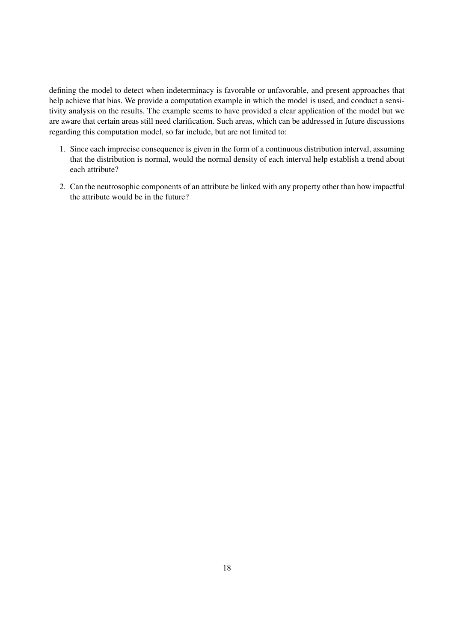defining the model to detect when indeterminacy is favorable or unfavorable, and present approaches that help achieve that bias. We provide a computation example in which the model is used, and conduct a sensitivity analysis on the results. The example seems to have provided a clear application of the model but we are aware that certain areas still need clarification. Such areas, which can be addressed in future discussions regarding this computation model, so far include, but are not limited to:

- 1. Since each imprecise consequence is given in the form of a continuous distribution interval, assuming that the distribution is normal, would the normal density of each interval help establish a trend about each attribute?
- 2. Can the neutrosophic components of an attribute be linked with any property other than how impactful the attribute would be in the future?